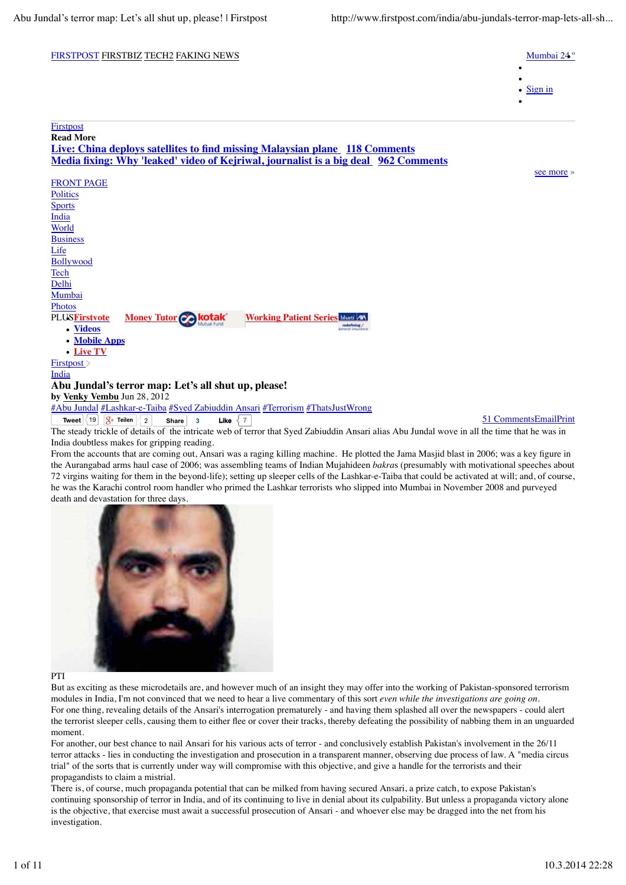## FIRSTPOST FIRSTBIZ TECH2 FAKING NEWS MUMbai 24 ° Sign in PLUS**Firstvote Videos Mobile Apps Live TV Money Tutor** *Motak* **Working Patient Series Firstpost Read More Live: China deploys satellites to find missing Malaysian plane 118 Comments Media fixing: Why 'leaked' video of Kejriwal, journalist is a big deal 962 Comments** see more » FRONT PAGE **Politics Sports** India World **Business** Life Bollywood Tech Delhi Mumbai Photos Firstpost >

India

## **Abu Jundal's terror map: Let's all shut up, please!**

**by Venky Vembu** Jun 28, 2012

#Abu Jundal #Lashkar-e-Taiba #Syed Zabiuddin Ansari #Terrorism #ThatsJustWrong

**Tweet**  $\begin{bmatrix} 19 \\ 19 \end{bmatrix}$   $\begin{bmatrix} 8 \\ 2 \end{bmatrix}$  **Share** 3 **Like**  $\begin{bmatrix} 7 \\ 7 \end{bmatrix}$ The steady trickle of details of the intricate web of terror that Syed Zabiuddin Ansari alias Abu Jundal wove in all the time that he was in India doubtless makes for gripping reading. **Share** 3

From the accounts that are coming out, Ansari was a raging killing machine. He plotted the Jama Masjid blast in 2006; was a key figure in the Aurangabad arms haul case of 2006; was assembling teams of Indian Mujahideen *bakra*s (presumably with motivational speeches about 72 virgins waiting for them in the beyond-life); setting up sleeper cells of the Lashkar-e-Taiba that could be activated at will; and, of course, he was the Karachi control room handler who primed the Lashkar terrorists who slipped into Mumbai in November 2008 and purveyed death and devastation for three days.



PTI

But as exciting as these microdetails are, and however much of an insight they may offer into the working of Pakistan-sponsored terrorism modules in India, I'm not convinced that we need to hear a live commentary of this sort *even while the investigations are going on*. For one thing, revealing details of the Ansari's interrogation prematurely - and having them splashed all over the newspapers - could alert the terrorist sleeper cells, causing them to either flee or cover their tracks, thereby defeating the possibility of nabbing them in an unguarded moment.

For another, our best chance to nail Ansari for his various acts of terror - and conclusively establish Pakistan's involvement in the 26/11 terror attacks - lies in conducting the investigation and prosecution in a transparent manner, observing due process of law. A "media circus trial" of the sorts that is currently under way will compromise with this objective, and give a handle for the terrorists and their propagandists to claim a mistrial.

There is, of course, much propaganda potential that can be milked from having secured Ansari, a prize catch, to expose Pakistan's continuing sponsorship of terror in India, and of its continuing to live in denial about its culpability. But unless a propaganda victory alone is the objective, that exercise must await a successful prosecution of Ansari - and whoever else may be dragged into the net from his investigation.